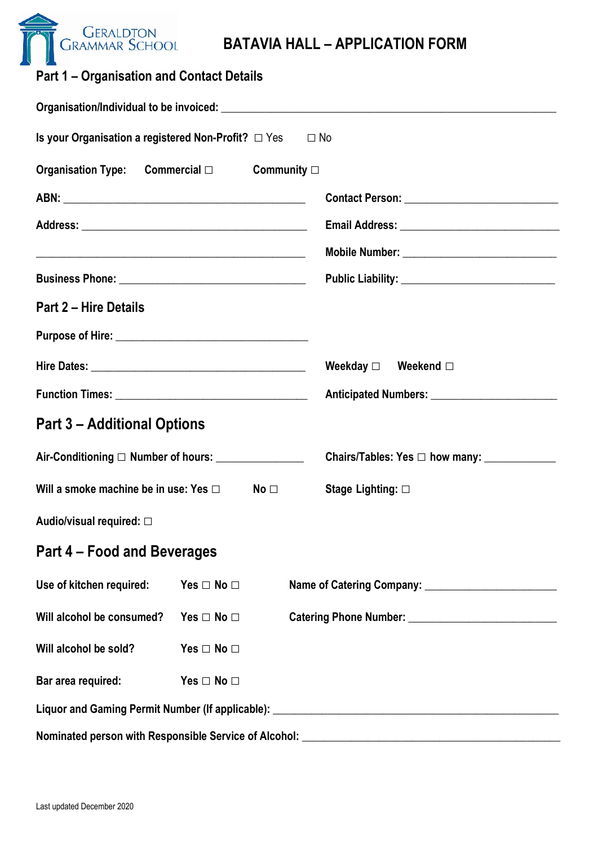

| <b>Part 1 – Organisation and Contact Details</b>                                                              |                                               |
|---------------------------------------------------------------------------------------------------------------|-----------------------------------------------|
| Organisation/Individual to be invoiced: example and a series of the series of the series of the series of the |                                               |
| Is your Organisation a registered Non-Profit? $\Box$ Yes                                                      | $\square$ No                                  |
| Commercial $\Box$<br><b>Organisation Type:</b>                                                                | Community $\Box$                              |
|                                                                                                               | Contact Person: Network and Separate Services |
|                                                                                                               | Email Address: ______________________         |

| <b>Organisation Type: Commercial □ Community □</b>                                                                   |                      |                                                                                   |
|----------------------------------------------------------------------------------------------------------------------|----------------------|-----------------------------------------------------------------------------------|
|                                                                                                                      |                      |                                                                                   |
|                                                                                                                      |                      |                                                                                   |
| <u> Alexandria de la contrada de la contrada de la contrada de la contrada de la contrada de la contrada de la c</u> |                      | Mobile Number: _______________________________                                    |
|                                                                                                                      |                      |                                                                                   |
| <b>Part 2 – Hire Details</b>                                                                                         |                      |                                                                                   |
|                                                                                                                      |                      |                                                                                   |
|                                                                                                                      |                      | Weekday $\square$ Weekend $\square$                                               |
|                                                                                                                      |                      |                                                                                   |
| <b>Part 3 – Additional Options</b>                                                                                   |                      |                                                                                   |
| Air-Conditioning □ Number of hours: _______________                                                                  |                      |                                                                                   |
| Will a smoke machine be in use: Yes □ No □ Stage Lighting: □                                                         |                      |                                                                                   |
| Audio/visual required: □                                                                                             |                      |                                                                                   |
| Part 4 – Food and Beverages                                                                                          |                      |                                                                                   |
| Use of kitchen required: Yes $\Box$ No $\Box$                                                                        |                      | Name of Catering Company:                                                         |
| Will alcohol be consumed?                                                                                            | Yes $\Box$ No $\Box$ |                                                                                   |
| Will alcohol be sold?                                                                                                | Yes $\Box$ No $\Box$ |                                                                                   |
| Bar area required:                                                                                                   | Yes $\Box$ No $\Box$ |                                                                                   |
|                                                                                                                      |                      |                                                                                   |
|                                                                                                                      |                      | Nominated person with Responsible Service of Alcohol: ___________________________ |